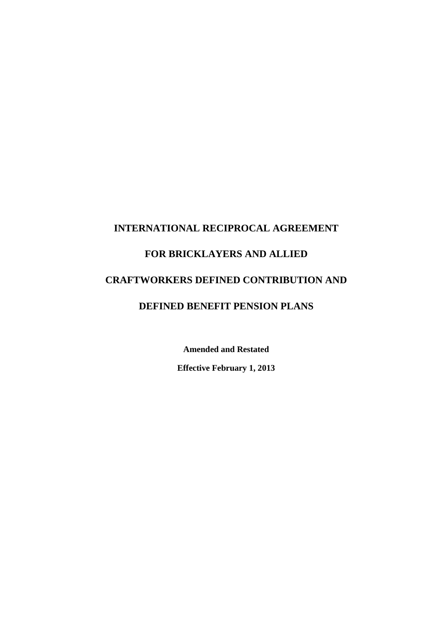# **INTERNATIONAL RECIPROCAL AGREEMENT FOR BRICKLAYERS AND ALLIED CRAFTWORKERS DEFINED CONTRIBUTION AND DEFINED BENEFIT PENSION PLANS**

**Amended and Restated** 

**Effective February 1, 2013**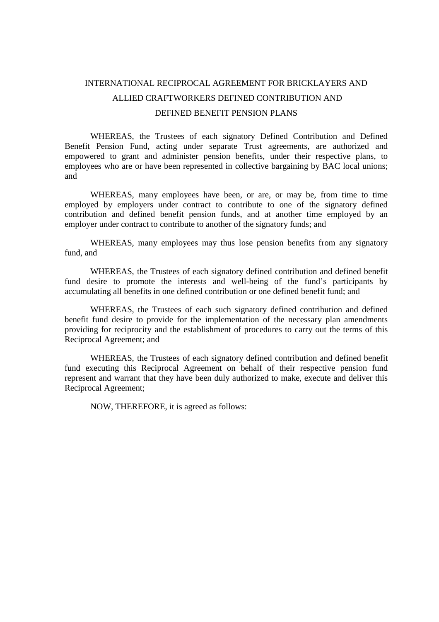# INTERNATIONAL RECIPROCAL AGREEMENT FOR BRICKLAYERS AND ALLIED CRAFTWORKERS DEFINED CONTRIBUTION AND DEFINED BENEFIT PENSION PLANS

WHEREAS, the Trustees of each signatory Defined Contribution and Defined Benefit Pension Fund, acting under separate Trust agreements, are authorized and empowered to grant and administer pension benefits, under their respective plans, to employees who are or have been represented in collective bargaining by BAC local unions; and

WHEREAS, many employees have been, or are, or may be, from time to time employed by employers under contract to contribute to one of the signatory defined contribution and defined benefit pension funds, and at another time employed by an employer under contract to contribute to another of the signatory funds; and

WHEREAS, many employees may thus lose pension benefits from any signatory fund, and

WHEREAS, the Trustees of each signatory defined contribution and defined benefit fund desire to promote the interests and well-being of the fund's participants by accumulating all benefits in one defined contribution or one defined benefit fund; and

WHEREAS, the Trustees of each such signatory defined contribution and defined benefit fund desire to provide for the implementation of the necessary plan amendments providing for reciprocity and the establishment of procedures to carry out the terms of this Reciprocal Agreement; and

WHEREAS, the Trustees of each signatory defined contribution and defined benefit fund executing this Reciprocal Agreement on behalf of their respective pension fund represent and warrant that they have been duly authorized to make, execute and deliver this Reciprocal Agreement;

NOW, THEREFORE, it is agreed as follows: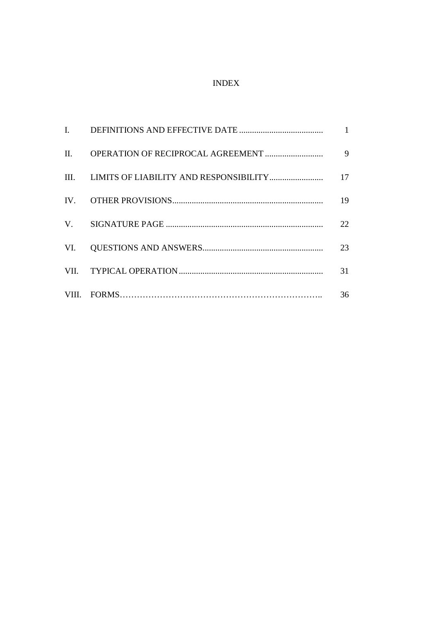# INDEX

|     | $\mathbf{1}$ |
|-----|--------------|
|     | 9            |
|     | 17           |
|     | 19           |
|     | 22           |
| VI. | 23           |
|     | 31           |
|     | 36           |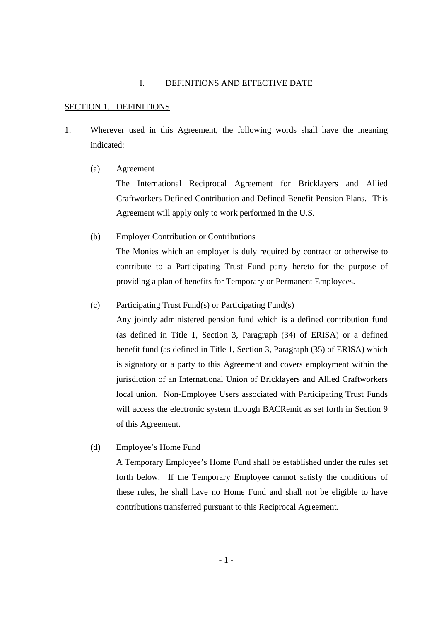#### I. DEFINITIONS AND EFFECTIVE DATE

#### SECTION 1. DEFINITIONS

- 1. Wherever used in this Agreement, the following words shall have the meaning indicated:
	- (a) Agreement

The International Reciprocal Agreement for Bricklayers and Allied Craftworkers Defined Contribution and Defined Benefit Pension Plans. This Agreement will apply only to work performed in the U.S.

(b) Employer Contribution or Contributions

The Monies which an employer is duly required by contract or otherwise to contribute to a Participating Trust Fund party hereto for the purpose of providing a plan of benefits for Temporary or Permanent Employees.

(c) Participating Trust Fund(s) or Participating Fund(s)

Any jointly administered pension fund which is a defined contribution fund (as defined in Title 1, Section 3, Paragraph (34) of ERISA) or a defined benefit fund (as defined in Title 1, Section 3, Paragraph (35) of ERISA) which is signatory or a party to this Agreement and covers employment within the jurisdiction of an International Union of Bricklayers and Allied Craftworkers local union. Non-Employee Users associated with Participating Trust Funds will access the electronic system through BACRemit as set forth in Section 9 of this Agreement.

(d) Employee's Home Fund

A Temporary Employee's Home Fund shall be established under the rules set forth below. If the Temporary Employee cannot satisfy the conditions of these rules, he shall have no Home Fund and shall not be eligible to have contributions transferred pursuant to this Reciprocal Agreement.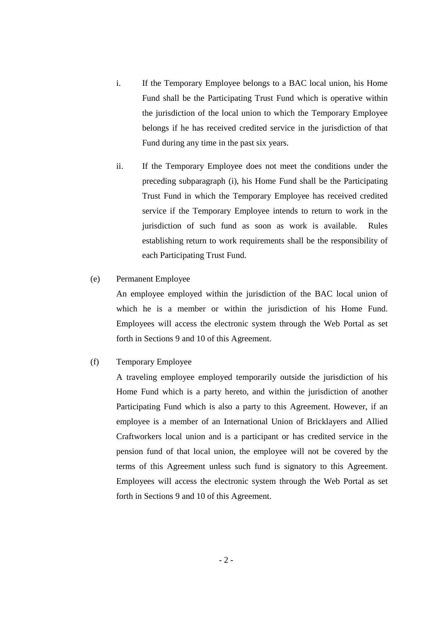- i. If the Temporary Employee belongs to a BAC local union, his Home Fund shall be the Participating Trust Fund which is operative within the jurisdiction of the local union to which the Temporary Employee belongs if he has received credited service in the jurisdiction of that Fund during any time in the past six years.
- ii. If the Temporary Employee does not meet the conditions under the preceding subparagraph (i), his Home Fund shall be the Participating Trust Fund in which the Temporary Employee has received credited service if the Temporary Employee intends to return to work in the jurisdiction of such fund as soon as work is available. Rules establishing return to work requirements shall be the responsibility of each Participating Trust Fund.
- (e) Permanent Employee

An employee employed within the jurisdiction of the BAC local union of which he is a member or within the jurisdiction of his Home Fund. Employees will access the electronic system through the Web Portal as set forth in Sections 9 and 10 of this Agreement.

#### (f) Temporary Employee

A traveling employee employed temporarily outside the jurisdiction of his Home Fund which is a party hereto, and within the jurisdiction of another Participating Fund which is also a party to this Agreement. However, if an employee is a member of an International Union of Bricklayers and Allied Craftworkers local union and is a participant or has credited service in the pension fund of that local union, the employee will not be covered by the terms of this Agreement unless such fund is signatory to this Agreement. Employees will access the electronic system through the Web Portal as set forth in Sections 9 and 10 of this Agreement.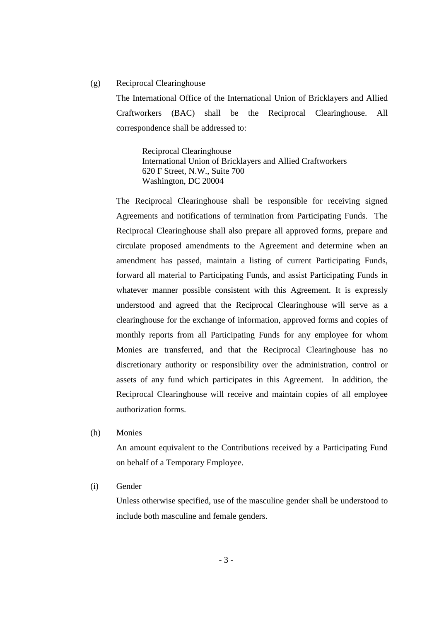#### (g) Reciprocal Clearinghouse

The International Office of the International Union of Bricklayers and Allied Craftworkers (BAC) shall be the Reciprocal Clearinghouse. All correspondence shall be addressed to:

Reciprocal Clearinghouse International Union of Bricklayers and Allied Craftworkers 620 F Street, N.W., Suite 700 Washington, DC 20004

The Reciprocal Clearinghouse shall be responsible for receiving signed Agreements and notifications of termination from Participating Funds. The Reciprocal Clearinghouse shall also prepare all approved forms, prepare and circulate proposed amendments to the Agreement and determine when an amendment has passed, maintain a listing of current Participating Funds, forward all material to Participating Funds, and assist Participating Funds in whatever manner possible consistent with this Agreement. It is expressly understood and agreed that the Reciprocal Clearinghouse will serve as a clearinghouse for the exchange of information, approved forms and copies of monthly reports from all Participating Funds for any employee for whom Monies are transferred, and that the Reciprocal Clearinghouse has no discretionary authority or responsibility over the administration, control or assets of any fund which participates in this Agreement*.* In addition, the Reciprocal Clearinghouse will receive and maintain copies of all employee authorization forms.

(h) Monies

An amount equivalent to the Contributions received by a Participating Fund on behalf of a Temporary Employee.

#### (i) Gender

Unless otherwise specified, use of the masculine gender shall be understood to include both masculine and female genders.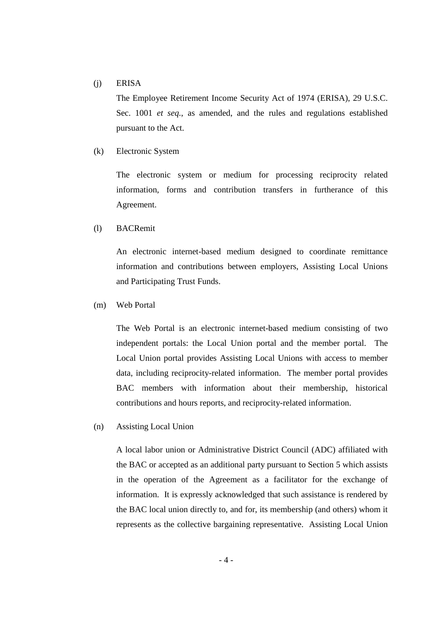#### (j) ERISA

The Employee Retirement Income Security Act of 1974 (ERISA), 29 U.S.C. Sec. 1001 *et seq.*, as amended, and the rules and regulations established pursuant to the Act.

(k) Electronic System

The electronic system or medium for processing reciprocity related information, forms and contribution transfers in furtherance of this Agreement.

#### (l) BACRemit

An electronic internet-based medium designed to coordinate remittance information and contributions between employers, Assisting Local Unions and Participating Trust Funds.

(m) Web Portal

The Web Portal is an electronic internet-based medium consisting of two independent portals: the Local Union portal and the member portal. The Local Union portal provides Assisting Local Unions with access to member data, including reciprocity-related information. The member portal provides BAC members with information about their membership, historical contributions and hours reports, and reciprocity-related information.

(n) Assisting Local Union

A local labor union or Administrative District Council (ADC) affiliated with the BAC or accepted as an additional party pursuant to Section 5 which assists in the operation of the Agreement as a facilitator for the exchange of information. It is expressly acknowledged that such assistance is rendered by the BAC local union directly to, and for, its membership (and others) whom it represents as the collective bargaining representative. Assisting Local Union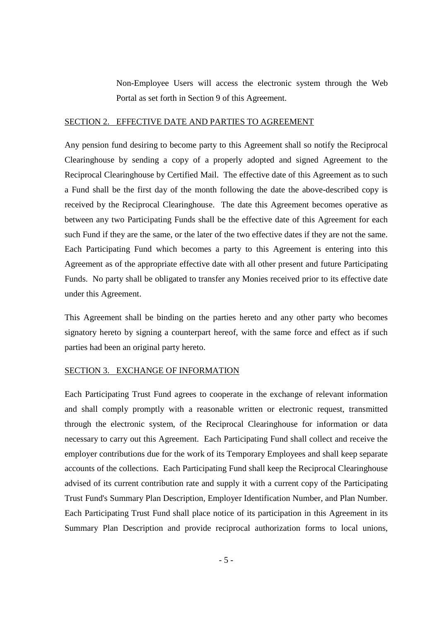Non-Employee Users will access the electronic system through the Web Portal as set forth in Section 9 of this Agreement.

#### SECTION 2. EFFECTIVE DATE AND PARTIES TO AGREEMENT

Any pension fund desiring to become party to this Agreement shall so notify the Reciprocal Clearinghouse by sending a copy of a properly adopted and signed Agreement to the Reciprocal Clearinghouse by Certified Mail. The effective date of this Agreement as to such a Fund shall be the first day of the month following the date the above-described copy is received by the Reciprocal Clearinghouse. The date this Agreement becomes operative as between any two Participating Funds shall be the effective date of this Agreement for each such Fund if they are the same, or the later of the two effective dates if they are not the same. Each Participating Fund which becomes a party to this Agreement is entering into this Agreement as of the appropriate effective date with all other present and future Participating Funds. No party shall be obligated to transfer any Monies received prior to its effective date under this Agreement.

This Agreement shall be binding on the parties hereto and any other party who becomes signatory hereto by signing a counterpart hereof, with the same force and effect as if such parties had been an original party hereto.

#### SECTION 3. EXCHANGE OF INFORMATION

Each Participating Trust Fund agrees to cooperate in the exchange of relevant information and shall comply promptly with a reasonable written or electronic request, transmitted through the electronic system, of the Reciprocal Clearinghouse for information or data necessary to carry out this Agreement. Each Participating Fund shall collect and receive the employer contributions due for the work of its Temporary Employees and shall keep separate accounts of the collections. Each Participating Fund shall keep the Reciprocal Clearinghouse advised of its current contribution rate and supply it with a current copy of the Participating Trust Fund's Summary Plan Description, Employer Identification Number, and Plan Number. Each Participating Trust Fund shall place notice of its participation in this Agreement in its Summary Plan Description and provide reciprocal authorization forms to local unions,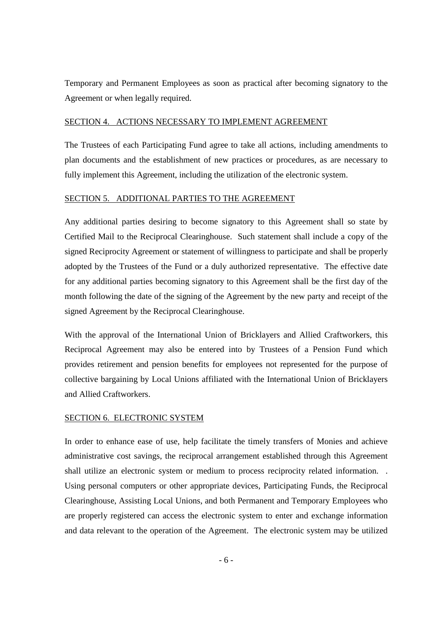Temporary and Permanent Employees as soon as practical after becoming signatory to the Agreement or when legally required.

#### SECTION 4. ACTIONS NECESSARY TO IMPLEMENT AGREEMENT

The Trustees of each Participating Fund agree to take all actions, including amendments to plan documents and the establishment of new practices or procedures, as are necessary to fully implement this Agreement, including the utilization of the electronic system.

#### SECTION 5. ADDITIONAL PARTIES TO THE AGREEMENT

Any additional parties desiring to become signatory to this Agreement shall so state by Certified Mail to the Reciprocal Clearinghouse. Such statement shall include a copy of the signed Reciprocity Agreement or statement of willingness to participate and shall be properly adopted by the Trustees of the Fund or a duly authorized representative. The effective date for any additional parties becoming signatory to this Agreement shall be the first day of the month following the date of the signing of the Agreement by the new party and receipt of the signed Agreement by the Reciprocal Clearinghouse.

With the approval of the International Union of Bricklayers and Allied Craftworkers, this Reciprocal Agreement may also be entered into by Trustees of a Pension Fund which provides retirement and pension benefits for employees not represented for the purpose of collective bargaining by Local Unions affiliated with the International Union of Bricklayers and Allied Craftworkers.

#### SECTION 6. ELECTRONIC SYSTEM

In order to enhance ease of use, help facilitate the timely transfers of Monies and achieve administrative cost savings, the reciprocal arrangement established through this Agreement shall utilize an electronic system or medium to process reciprocity related information. . Using personal computers or other appropriate devices, Participating Funds, the Reciprocal Clearinghouse, Assisting Local Unions, and both Permanent and Temporary Employees who are properly registered can access the electronic system to enter and exchange information and data relevant to the operation of the Agreement. The electronic system may be utilized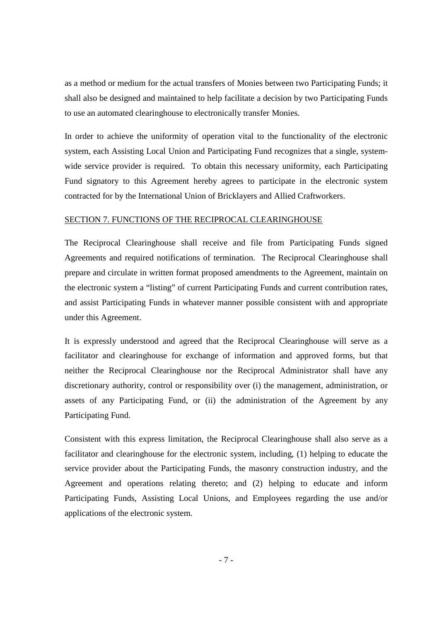as a method or medium for the actual transfers of Monies between two Participating Funds; it shall also be designed and maintained to help facilitate a decision by two Participating Funds to use an automated clearinghouse to electronically transfer Monies.

In order to achieve the uniformity of operation vital to the functionality of the electronic system, each Assisting Local Union and Participating Fund recognizes that a single, systemwide service provider is required. To obtain this necessary uniformity, each Participating Fund signatory to this Agreement hereby agrees to participate in the electronic system contracted for by the International Union of Bricklayers and Allied Craftworkers.

#### SECTION 7. FUNCTIONS OF THE RECIPROCAL CLEARINGHOUSE

The Reciprocal Clearinghouse shall receive and file from Participating Funds signed Agreements and required notifications of termination. The Reciprocal Clearinghouse shall prepare and circulate in written format proposed amendments to the Agreement, maintain on the electronic system a "listing" of current Participating Funds and current contribution rates, and assist Participating Funds in whatever manner possible consistent with and appropriate under this Agreement.

It is expressly understood and agreed that the Reciprocal Clearinghouse will serve as a facilitator and clearinghouse for exchange of information and approved forms, but that neither the Reciprocal Clearinghouse nor the Reciprocal Administrator shall have any discretionary authority, control or responsibility over (i) the management, administration, or assets of any Participating Fund, or (ii) the administration of the Agreement by any Participating Fund.

Consistent with this express limitation, the Reciprocal Clearinghouse shall also serve as a facilitator and clearinghouse for the electronic system, including, (1) helping to educate the service provider about the Participating Funds, the masonry construction industry, and the Agreement and operations relating thereto; and (2) helping to educate and inform Participating Funds, Assisting Local Unions, and Employees regarding the use and/or applications of the electronic system.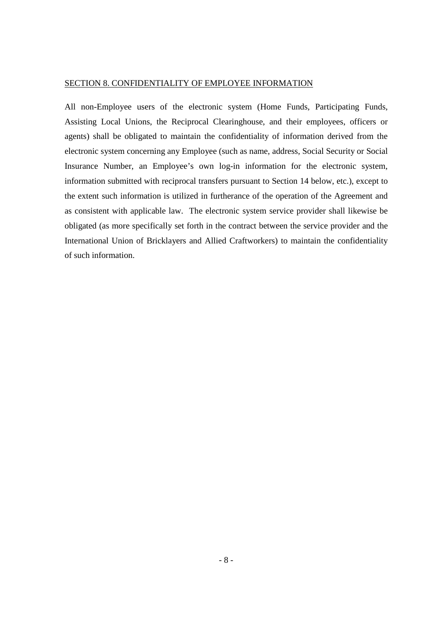#### SECTION 8. CONFIDENTIALITY OF EMPLOYEE INFORMATION

All non-Employee users of the electronic system (Home Funds, Participating Funds, Assisting Local Unions, the Reciprocal Clearinghouse, and their employees, officers or agents) shall be obligated to maintain the confidentiality of information derived from the electronic system concerning any Employee (such as name, address, Social Security or Social Insurance Number, an Employee's own log-in information for the electronic system, information submitted with reciprocal transfers pursuant to Section 14 below, etc.), except to the extent such information is utilized in furtherance of the operation of the Agreement and as consistent with applicable law. The electronic system service provider shall likewise be obligated (as more specifically set forth in the contract between the service provider and the International Union of Bricklayers and Allied Craftworkers) to maintain the confidentiality of such information.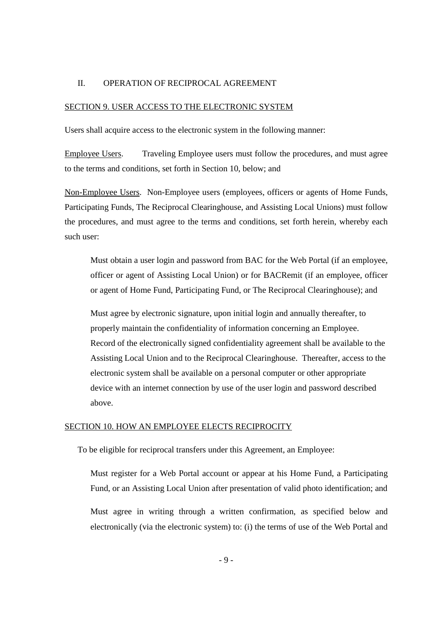#### II. OPERATION OF RECIPROCAL AGREEMENT

#### SECTION 9. USER ACCESS TO THE ELECTRONIC SYSTEM

Users shall acquire access to the electronic system in the following manner:

Employee Users. Traveling Employee users must follow the procedures, and must agree to the terms and conditions, set forth in Section 10, below; and

Non-Employee Users. Non-Employee users (employees, officers or agents of Home Funds, Participating Funds, The Reciprocal Clearinghouse, and Assisting Local Unions) must follow the procedures, and must agree to the terms and conditions, set forth herein, whereby each such user:

Must obtain a user login and password from BAC for the Web Portal (if an employee, officer or agent of Assisting Local Union) or for BACRemit (if an employee, officer or agent of Home Fund, Participating Fund, or The Reciprocal Clearinghouse); and

Must agree by electronic signature, upon initial login and annually thereafter, to properly maintain the confidentiality of information concerning an Employee. Record of the electronically signed confidentiality agreement shall be available to the Assisting Local Union and to the Reciprocal Clearinghouse. Thereafter, access to the electronic system shall be available on a personal computer or other appropriate device with an internet connection by use of the user login and password described above.

#### SECTION 10. HOW AN EMPLOYEE ELECTS RECIPROCITY

To be eligible for reciprocal transfers under this Agreement, an Employee:

Must register for a Web Portal account or appear at his Home Fund, a Participating Fund, or an Assisting Local Union after presentation of valid photo identification; and

Must agree in writing through a written confirmation, as specified below and electronically (via the electronic system) to: (i) the terms of use of the Web Portal and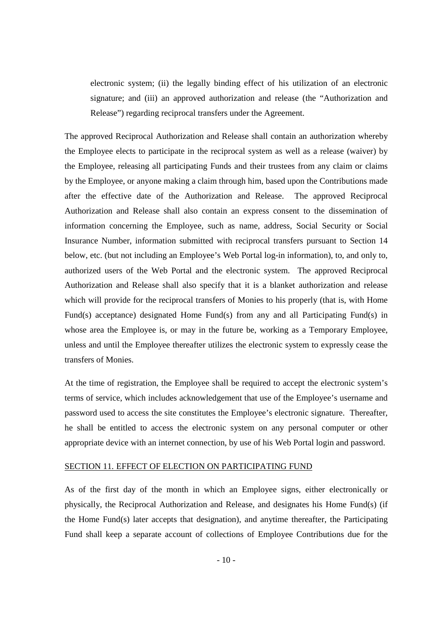electronic system; (ii) the legally binding effect of his utilization of an electronic signature; and (iii) an approved authorization and release (the "Authorization and Release") regarding reciprocal transfers under the Agreement.

The approved Reciprocal Authorization and Release shall contain an authorization whereby the Employee elects to participate in the reciprocal system as well as a release (waiver) by the Employee, releasing all participating Funds and their trustees from any claim or claims by the Employee, or anyone making a claim through him, based upon the Contributions made after the effective date of the Authorization and Release. The approved Reciprocal Authorization and Release shall also contain an express consent to the dissemination of information concerning the Employee, such as name, address, Social Security or Social Insurance Number, information submitted with reciprocal transfers pursuant to Section 14 below, etc. (but not including an Employee's Web Portal log-in information), to, and only to, authorized users of the Web Portal and the electronic system. The approved Reciprocal Authorization and Release shall also specify that it is a blanket authorization and release which will provide for the reciprocal transfers of Monies to his properly (that is, with Home Fund(s) acceptance) designated Home Fund(s) from any and all Participating Fund(s) in whose area the Employee is, or may in the future be, working as a Temporary Employee, unless and until the Employee thereafter utilizes the electronic system to expressly cease the transfers of Monies.

At the time of registration, the Employee shall be required to accept the electronic system's terms of service, which includes acknowledgement that use of the Employee's username and password used to access the site constitutes the Employee's electronic signature. Thereafter, he shall be entitled to access the electronic system on any personal computer or other appropriate device with an internet connection, by use of his Web Portal login and password.

#### SECTION 11. EFFECT OF ELECTION ON PARTICIPATING FUND

As of the first day of the month in which an Employee signs, either electronically or physically, the Reciprocal Authorization and Release, and designates his Home Fund(s) (if the Home Fund(s) later accepts that designation), and anytime thereafter, the Participating Fund shall keep a separate account of collections of Employee Contributions due for the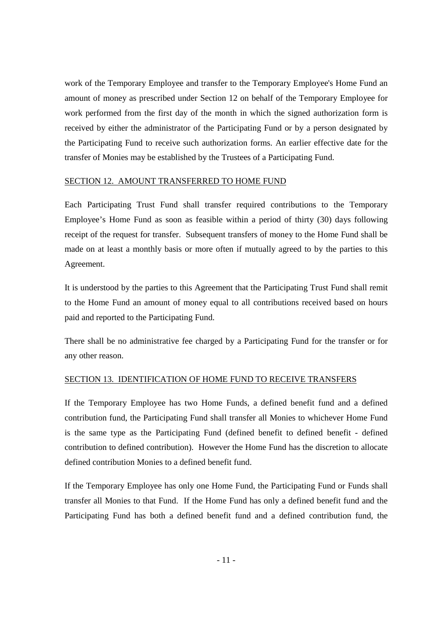work of the Temporary Employee and transfer to the Temporary Employee's Home Fund an amount of money as prescribed under Section 12 on behalf of the Temporary Employee for work performed from the first day of the month in which the signed authorization form is received by either the administrator of the Participating Fund or by a person designated by the Participating Fund to receive such authorization forms. An earlier effective date for the transfer of Monies may be established by the Trustees of a Participating Fund.

#### SECTION 12.AMOUNT TRANSFERRED TO HOME FUND

Each Participating Trust Fund shall transfer required contributions to the Temporary Employee's Home Fund as soon as feasible within a period of thirty (30) days following receipt of the request for transfer. Subsequent transfers of money to the Home Fund shall be made on at least a monthly basis or more often if mutually agreed to by the parties to this Agreement.

It is understood by the parties to this Agreement that the Participating Trust Fund shall remit to the Home Fund an amount of money equal to all contributions received based on hours paid and reported to the Participating Fund.

There shall be no administrative fee charged by a Participating Fund for the transfer or for any other reason.

## SECTION 13. IDENTIFICATION OF HOME FUND TO RECEIVE TRANSFERS

If the Temporary Employee has two Home Funds, a defined benefit fund and a defined contribution fund, the Participating Fund shall transfer all Monies to whichever Home Fund is the same type as the Participating Fund (defined benefit to defined benefit - defined contribution to defined contribution). However the Home Fund has the discretion to allocate defined contribution Monies to a defined benefit fund.

If the Temporary Employee has only one Home Fund, the Participating Fund or Funds shall transfer all Monies to that Fund. If the Home Fund has only a defined benefit fund and the Participating Fund has both a defined benefit fund and a defined contribution fund, the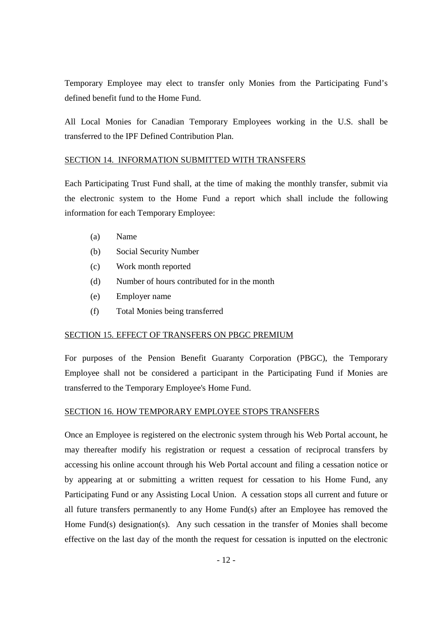Temporary Employee may elect to transfer only Monies from the Participating Fund's defined benefit fund to the Home Fund.

All Local Monies for Canadian Temporary Employees working in the U.S. shall be transferred to the IPF Defined Contribution Plan.

#### SECTION 14. INFORMATION SUBMITTED WITH TRANSFERS

Each Participating Trust Fund shall, at the time of making the monthly transfer, submit via the electronic system to the Home Fund a report which shall include the following information for each Temporary Employee:

- (a) Name
- (b) Social Security Number
- (c) Work month reported
- (d) Number of hours contributed for in the month
- (e) Employer name
- (f) Total Monies being transferred

# SECTION 15. EFFECT OF TRANSFERS ON PBGC PREMIUM

For purposes of the Pension Benefit Guaranty Corporation (PBGC), the Temporary Employee shall not be considered a participant in the Participating Fund if Monies are transferred to the Temporary Employee's Home Fund.

#### SECTION 16. HOW TEMPORARY EMPLOYEE STOPS TRANSFERS

Once an Employee is registered on the electronic system through his Web Portal account, he may thereafter modify his registration or request a cessation of reciprocal transfers by accessing his online account through his Web Portal account and filing a cessation notice or by appearing at or submitting a written request for cessation to his Home Fund, any Participating Fund or any Assisting Local Union. A cessation stops all current and future or all future transfers permanently to any Home Fund(s) after an Employee has removed the Home Fund(s) designation(s). Any such cessation in the transfer of Monies shall become effective on the last day of the month the request for cessation is inputted on the electronic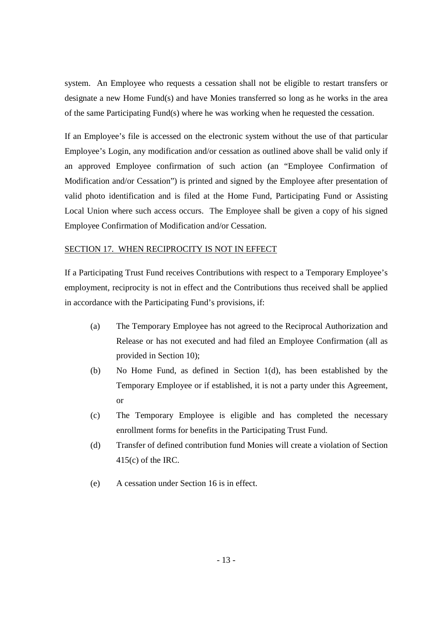system. An Employee who requests a cessation shall not be eligible to restart transfers or designate a new Home Fund(s) and have Monies transferred so long as he works in the area of the same Participating Fund(s) where he was working when he requested the cessation.

If an Employee's file is accessed on the electronic system without the use of that particular Employee's Login, any modification and/or cessation as outlined above shall be valid only if an approved Employee confirmation of such action (an "Employee Confirmation of Modification and/or Cessation") is printed and signed by the Employee after presentation of valid photo identification and is filed at the Home Fund, Participating Fund or Assisting Local Union where such access occurs. The Employee shall be given a copy of his signed Employee Confirmation of Modification and/or Cessation.

#### SECTION 17. WHEN RECIPROCITY IS NOT IN EFFECT

If a Participating Trust Fund receives Contributions with respect to a Temporary Employee's employment, reciprocity is not in effect and the Contributions thus received shall be applied in accordance with the Participating Fund's provisions, if:

- (a) The Temporary Employee has not agreed to the Reciprocal Authorization and Release or has not executed and had filed an Employee Confirmation (all as provided in Section 10);
- (b) No Home Fund, as defined in Section 1(d), has been established by the Temporary Employee or if established, it is not a party under this Agreement, or
- (c) The Temporary Employee is eligible and has completed the necessary enrollment forms for benefits in the Participating Trust Fund.
- (d) Transfer of defined contribution fund Monies will create a violation of Section 415(c) of the IRC.
- (e) A cessation under Section 16 is in effect.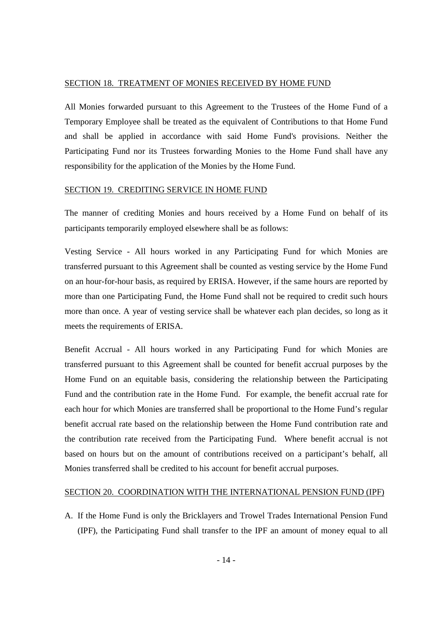#### SECTION 18. TREATMENT OF MONIES RECEIVED BY HOME FUND

All Monies forwarded pursuant to this Agreement to the Trustees of the Home Fund of a Temporary Employee shall be treated as the equivalent of Contributions to that Home Fund and shall be applied in accordance with said Home Fund's provisions. Neither the Participating Fund nor its Trustees forwarding Monies to the Home Fund shall have any responsibility for the application of the Monies by the Home Fund.

#### SECTION 19. CREDITING SERVICE IN HOME FUND

The manner of crediting Monies and hours received by a Home Fund on behalf of its participants temporarily employed elsewhere shall be as follows:

Vesting Service - All hours worked in any Participating Fund for which Monies are transferred pursuant to this Agreement shall be counted as vesting service by the Home Fund on an hour-for-hour basis, as required by ERISA. However, if the same hours are reported by more than one Participating Fund, the Home Fund shall not be required to credit such hours more than once. A year of vesting service shall be whatever each plan decides, so long as it meets the requirements of ERISA.

Benefit Accrual - All hours worked in any Participating Fund for which Monies are transferred pursuant to this Agreement shall be counted for benefit accrual purposes by the Home Fund on an equitable basis, considering the relationship between the Participating Fund and the contribution rate in the Home Fund. For example, the benefit accrual rate for each hour for which Monies are transferred shall be proportional to the Home Fund's regular benefit accrual rate based on the relationship between the Home Fund contribution rate and the contribution rate received from the Participating Fund. Where benefit accrual is not based on hours but on the amount of contributions received on a participant's behalf, all Monies transferred shall be credited to his account for benefit accrual purposes.

#### SECTION 20. COORDINATION WITH THE INTERNATIONAL PENSION FUND (IPF)

A. If the Home Fund is only the Bricklayers and Trowel Trades International Pension Fund (IPF), the Participating Fund shall transfer to the IPF an amount of money equal to all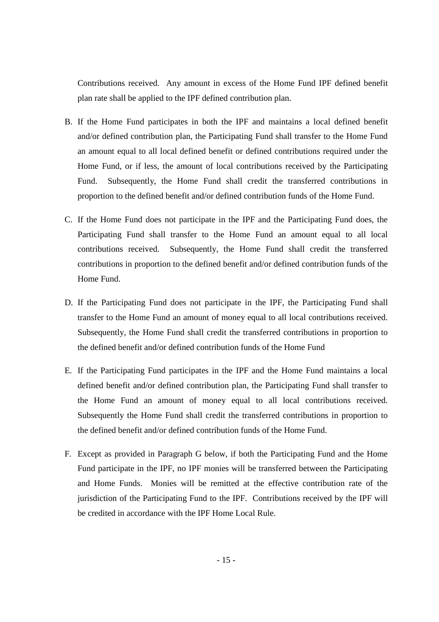Contributions received. Any amount in excess of the Home Fund IPF defined benefit plan rate shall be applied to the IPF defined contribution plan.

- B. If the Home Fund participates in both the IPF and maintains a local defined benefit and/or defined contribution plan, the Participating Fund shall transfer to the Home Fund an amount equal to all local defined benefit or defined contributions required under the Home Fund, or if less, the amount of local contributions received by the Participating Fund. Subsequently, the Home Fund shall credit the transferred contributions in proportion to the defined benefit and/or defined contribution funds of the Home Fund.
- C. If the Home Fund does not participate in the IPF and the Participating Fund does, the Participating Fund shall transfer to the Home Fund an amount equal to all local contributions received. Subsequently, the Home Fund shall credit the transferred contributions in proportion to the defined benefit and/or defined contribution funds of the Home Fund.
- D. If the Participating Fund does not participate in the IPF, the Participating Fund shall transfer to the Home Fund an amount of money equal to all local contributions received. Subsequently, the Home Fund shall credit the transferred contributions in proportion to the defined benefit and/or defined contribution funds of the Home Fund
- E. If the Participating Fund participates in the IPF and the Home Fund maintains a local defined benefit and/or defined contribution plan, the Participating Fund shall transfer to the Home Fund an amount of money equal to all local contributions received. Subsequently the Home Fund shall credit the transferred contributions in proportion to the defined benefit and/or defined contribution funds of the Home Fund.
- F. Except as provided in Paragraph G below, if both the Participating Fund and the Home Fund participate in the IPF, no IPF monies will be transferred between the Participating and Home Funds. Monies will be remitted at the effective contribution rate of the jurisdiction of the Participating Fund to the IPF. Contributions received by the IPF will be credited in accordance with the IPF Home Local Rule.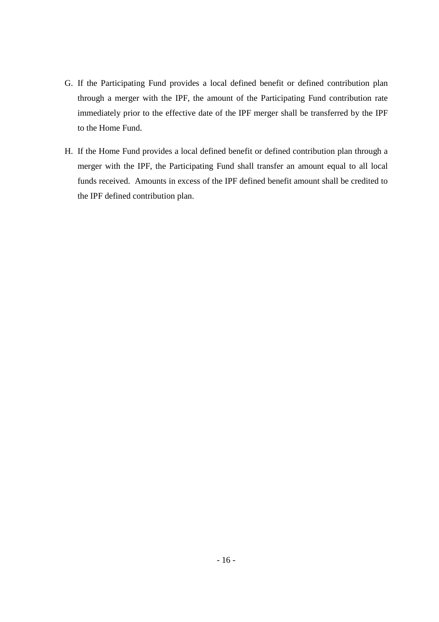- G. If the Participating Fund provides a local defined benefit or defined contribution plan through a merger with the IPF, the amount of the Participating Fund contribution rate immediately prior to the effective date of the IPF merger shall be transferred by the IPF to the Home Fund.
- H. If the Home Fund provides a local defined benefit or defined contribution plan through a merger with the IPF, the Participating Fund shall transfer an amount equal to all local funds received. Amounts in excess of the IPF defined benefit amount shall be credited to the IPF defined contribution plan.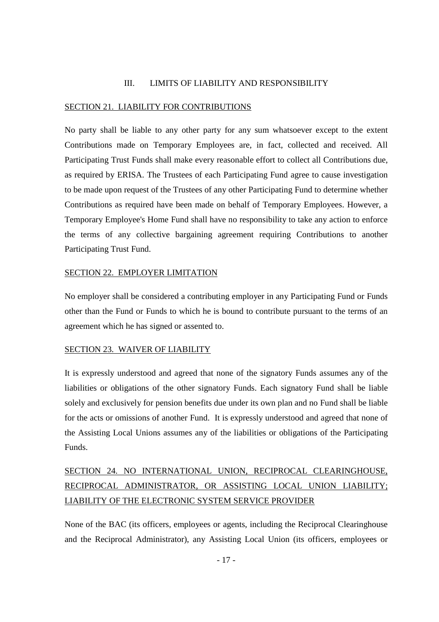#### III. LIMITS OF LIABILITY AND RESPONSIBILITY

#### SECTION 21. LIABILITY FOR CONTRIBUTIONS

No party shall be liable to any other party for any sum whatsoever except to the extent Contributions made on Temporary Employees are, in fact, collected and received. All Participating Trust Funds shall make every reasonable effort to collect all Contributions due, as required by ERISA. The Trustees of each Participating Fund agree to cause investigation to be made upon request of the Trustees of any other Participating Fund to determine whether Contributions as required have been made on behalf of Temporary Employees. However, a Temporary Employee's Home Fund shall have no responsibility to take any action to enforce the terms of any collective bargaining agreement requiring Contributions to another Participating Trust Fund.

#### SECTION 22. EMPLOYER LIMITATION

No employer shall be considered a contributing employer in any Participating Fund or Funds other than the Fund or Funds to which he is bound to contribute pursuant to the terms of an agreement which he has signed or assented to.

#### SECTION 23. WAIVER OF LIABILITY

It is expressly understood and agreed that none of the signatory Funds assumes any of the liabilities or obligations of the other signatory Funds. Each signatory Fund shall be liable solely and exclusively for pension benefits due under its own plan and no Fund shall be liable for the acts or omissions of another Fund. It is expressly understood and agreed that none of the Assisting Local Unions assumes any of the liabilities or obligations of the Participating Funds.

# SECTION 24. NO INTERNATIONAL UNION, RECIPROCAL CLEARINGHOUSE, RECIPROCAL ADMINISTRATOR, OR ASSISTING LOCAL UNION LIABILITY; LIABILITY OF THE ELECTRONIC SYSTEM SERVICE PROVIDER

None of the BAC (its officers, employees or agents, including the Reciprocal Clearinghouse and the Reciprocal Administrator), any Assisting Local Union (its officers, employees or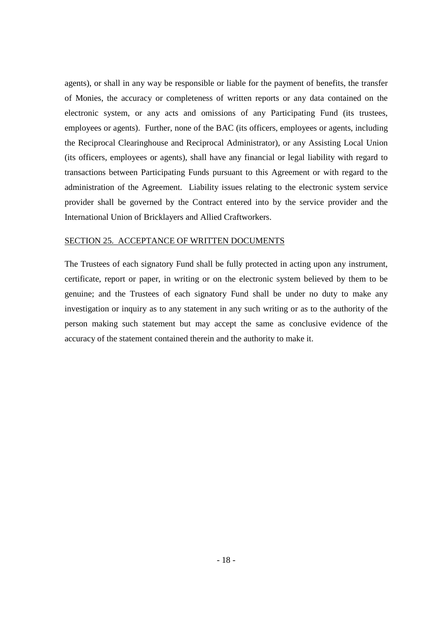agents), or shall in any way be responsible or liable for the payment of benefits, the transfer of Monies, the accuracy or completeness of written reports or any data contained on the electronic system, or any acts and omissions of any Participating Fund (its trustees, employees or agents). Further, none of the BAC (its officers, employees or agents, including the Reciprocal Clearinghouse and Reciprocal Administrator), or any Assisting Local Union (its officers, employees or agents), shall have any financial or legal liability with regard to transactions between Participating Funds pursuant to this Agreement or with regard to the administration of the Agreement. Liability issues relating to the electronic system service provider shall be governed by the Contract entered into by the service provider and the International Union of Bricklayers and Allied Craftworkers.

#### SECTION 25. ACCEPTANCE OF WRITTEN DOCUMENTS

The Trustees of each signatory Fund shall be fully protected in acting upon any instrument, certificate, report or paper, in writing or on the electronic system believed by them to be genuine; and the Trustees of each signatory Fund shall be under no duty to make any investigation or inquiry as to any statement in any such writing or as to the authority of the person making such statement but may accept the same as conclusive evidence of the accuracy of the statement contained therein and the authority to make it.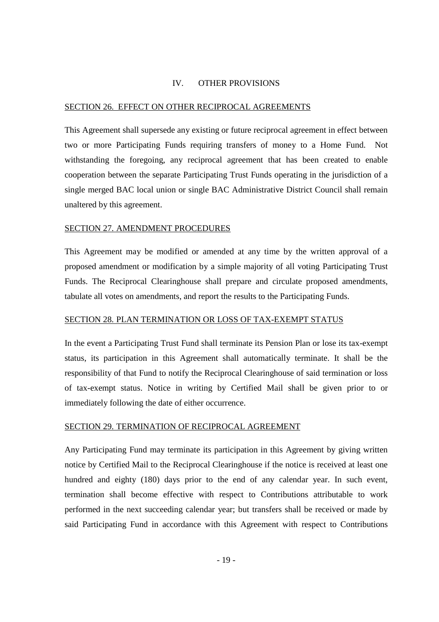#### IV. OTHER PROVISIONS

#### SECTION 26. EFFECT ON OTHER RECIPROCAL AGREEMENTS

This Agreement shall supersede any existing or future reciprocal agreement in effect between two or more Participating Funds requiring transfers of money to a Home Fund. Not withstanding the foregoing, any reciprocal agreement that has been created to enable cooperation between the separate Participating Trust Funds operating in the jurisdiction of a single merged BAC local union or single BAC Administrative District Council shall remain unaltered by this agreement.

#### SECTION 27. AMENDMENT PROCEDURES

This Agreement may be modified or amended at any time by the written approval of a proposed amendment or modification by a simple majority of all voting Participating Trust Funds. The Reciprocal Clearinghouse shall prepare and circulate proposed amendments, tabulate all votes on amendments, and report the results to the Participating Funds.

#### SECTION 28. PLAN TERMINATION OR LOSS OF TAX-EXEMPT STATUS

In the event a Participating Trust Fund shall terminate its Pension Plan or lose its tax-exempt status, its participation in this Agreement shall automatically terminate. It shall be the responsibility of that Fund to notify the Reciprocal Clearinghouse of said termination or loss of tax-exempt status. Notice in writing by Certified Mail shall be given prior to or immediately following the date of either occurrence.

#### SECTION 29. TERMINATION OF RECIPROCAL AGREEMENT

Any Participating Fund may terminate its participation in this Agreement by giving written notice by Certified Mail to the Reciprocal Clearinghouse if the notice is received at least one hundred and eighty (180) days prior to the end of any calendar year. In such event, termination shall become effective with respect to Contributions attributable to work performed in the next succeeding calendar year; but transfers shall be received or made by said Participating Fund in accordance with this Agreement with respect to Contributions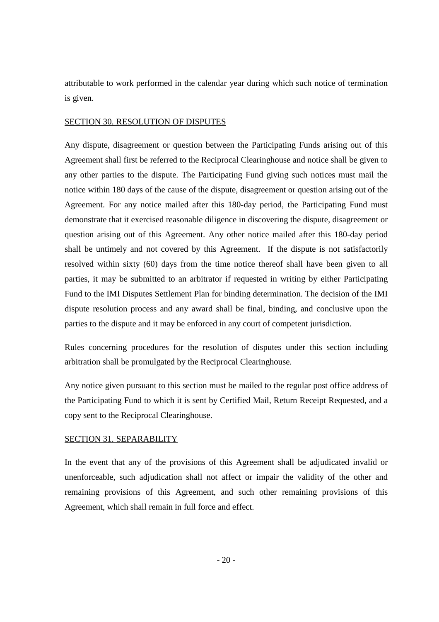attributable to work performed in the calendar year during which such notice of termination is given.

#### SECTION 30. RESOLUTION OF DISPUTES

Any dispute, disagreement or question between the Participating Funds arising out of this Agreement shall first be referred to the Reciprocal Clearinghouse and notice shall be given to any other parties to the dispute. The Participating Fund giving such notices must mail the notice within 180 days of the cause of the dispute, disagreement or question arising out of the Agreement. For any notice mailed after this 180-day period, the Participating Fund must demonstrate that it exercised reasonable diligence in discovering the dispute, disagreement or question arising out of this Agreement. Any other notice mailed after this 180-day period shall be untimely and not covered by this Agreement. If the dispute is not satisfactorily resolved within sixty (60) days from the time notice thereof shall have been given to all parties, it may be submitted to an arbitrator if requested in writing by either Participating Fund to the IMI Disputes Settlement Plan for binding determination. The decision of the IMI dispute resolution process and any award shall be final, binding, and conclusive upon the parties to the dispute and it may be enforced in any court of competent jurisdiction.

Rules concerning procedures for the resolution of disputes under this section including arbitration shall be promulgated by the Reciprocal Clearinghouse.

Any notice given pursuant to this section must be mailed to the regular post office address of the Participating Fund to which it is sent by Certified Mail, Return Receipt Requested, and a copy sent to the Reciprocal Clearinghouse.

## SECTION 31. SEPARABILITY

In the event that any of the provisions of this Agreement shall be adjudicated invalid or unenforceable, such adjudication shall not affect or impair the validity of the other and remaining provisions of this Agreement, and such other remaining provisions of this Agreement, which shall remain in full force and effect.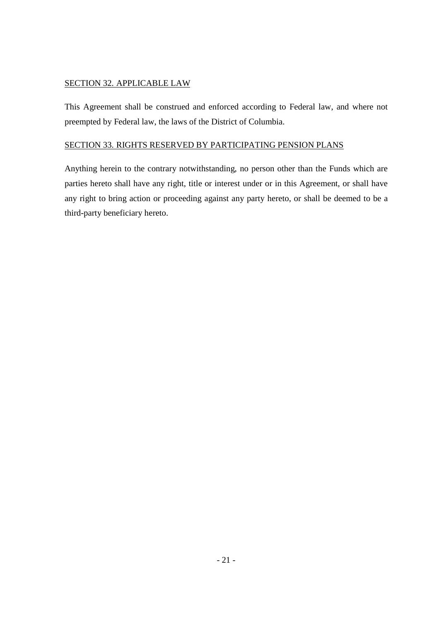# SECTION 32. APPLICABLE LAW

This Agreement shall be construed and enforced according to Federal law, and where not preempted by Federal law, the laws of the District of Columbia.

# SECTION 33. RIGHTS RESERVED BY PARTICIPATING PENSION PLANS

Anything herein to the contrary notwithstanding, no person other than the Funds which are parties hereto shall have any right, title or interest under or in this Agreement, or shall have any right to bring action or proceeding against any party hereto, or shall be deemed to be a third-party beneficiary hereto.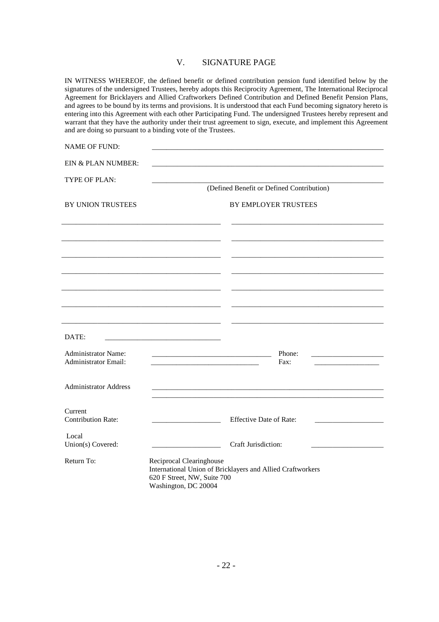#### V. SIGNATURE PAGE

IN WITNESS WHEREOF, the defined benefit or defined contribution pension fund identified below by the signatures of the undersigned Trustees, hereby adopts this Reciprocity Agreement, The International Reciprocal Agreement for Bricklayers and Allied Craftworkers Defined Contribution and Defined Benefit Pension Plans, and agrees to be bound by its terms and provisions. It is understood that each Fund becoming signatory hereto is entering into this Agreement with each other Participating Fund. The undersigned Trustees hereby represent and warrant that they have the authority under their trust agreement to sign, execute, and implement this Agreement and are doing so pursuant to a binding vote of the Trustees.

| <b>NAME OF FUND:</b>                 |                                                                                                                       |
|--------------------------------------|-----------------------------------------------------------------------------------------------------------------------|
| EIN & PLAN NUMBER:                   |                                                                                                                       |
| TYPE OF PLAN:                        |                                                                                                                       |
|                                      | (Defined Benefit or Defined Contribution)                                                                             |
| BY UNION TRUSTEES                    | BY EMPLOYER TRUSTEES                                                                                                  |
|                                      |                                                                                                                       |
|                                      |                                                                                                                       |
|                                      |                                                                                                                       |
|                                      |                                                                                                                       |
|                                      |                                                                                                                       |
|                                      |                                                                                                                       |
|                                      |                                                                                                                       |
| DATE:                                | <u> 1980 - Jan James James, martin amerikan basar dan bagi dan bagi dari dalam basar dan bagi dalam bagi dalam ba</u> |
| <b>Administrator Name:</b>           | Phone:                                                                                                                |
| <b>Administrator Email:</b>          | Fax:                                                                                                                  |
| <b>Administrator Address</b>         |                                                                                                                       |
|                                      |                                                                                                                       |
| Current<br><b>Contribution Rate:</b> | <b>Effective Date of Rate:</b>                                                                                        |
| Local                                |                                                                                                                       |
| Union(s) Covered:                    | Craft Jurisdiction:                                                                                                   |
| Return To:                           | Reciprocal Clearinghouse<br>International Union of Bricklayers and Allied Craftworkers                                |
|                                      | 620 F Street, NW, Suite 700                                                                                           |
|                                      | Washington, DC 20004                                                                                                  |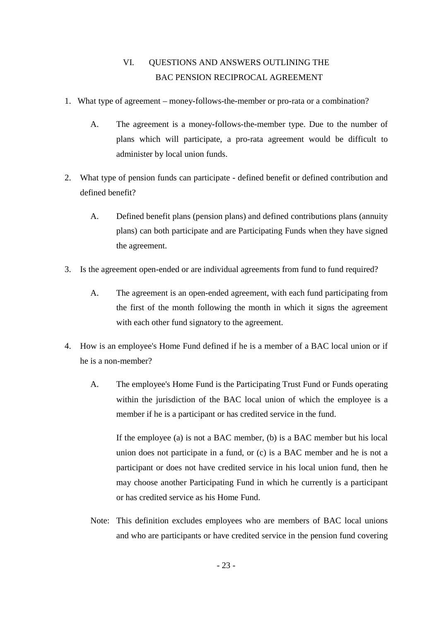# VI. QUESTIONS AND ANSWERS OUTLINING THE BAC PENSION RECIPROCAL AGREEMENT

- 1. What type of agreement money-follows-the-member or pro-rata or a combination?
	- A. The agreement is a money-follows-the-member type. Due to the number of plans which will participate, a pro-rata agreement would be difficult to administer by local union funds.
- 2. What type of pension funds can participate defined benefit or defined contribution and defined benefit?
	- A. Defined benefit plans (pension plans) and defined contributions plans (annuity plans) can both participate and are Participating Funds when they have signed the agreement.
- 3. Is the agreement open-ended or are individual agreements from fund to fund required?
	- A. The agreement is an open-ended agreement, with each fund participating from the first of the month following the month in which it signs the agreement with each other fund signatory to the agreement.
- 4. How is an employee's Home Fund defined if he is a member of a BAC local union or if he is a non-member?
	- A. The employee's Home Fund is the Participating Trust Fund or Funds operating within the jurisdiction of the BAC local union of which the employee is a member if he is a participant or has credited service in the fund.

If the employee (a) is not a BAC member, (b) is a BAC member but his local union does not participate in a fund, or (c) is a BAC member and he is not a participant or does not have credited service in his local union fund, then he may choose another Participating Fund in which he currently is a participant or has credited service as his Home Fund.

Note: This definition excludes employees who are members of BAC local unions and who are participants or have credited service in the pension fund covering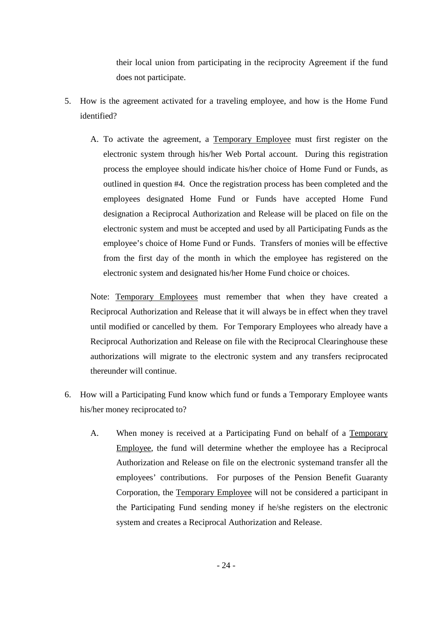their local union from participating in the reciprocity Agreement if the fund does not participate.

- 5. How is the agreement activated for a traveling employee, and how is the Home Fund identified?
	- A. To activate the agreement, a Temporary Employee must first register on the electronic system through his/her Web Portal account. During this registration process the employee should indicate his/her choice of Home Fund or Funds, as outlined in question #4. Once the registration process has been completed and the employees designated Home Fund or Funds have accepted Home Fund designation a Reciprocal Authorization and Release will be placed on file on the electronic system and must be accepted and used by all Participating Funds as the employee's choice of Home Fund or Funds. Transfers of monies will be effective from the first day of the month in which the employee has registered on the electronic system and designated his/her Home Fund choice or choices.

Note: Temporary Employees must remember that when they have created a Reciprocal Authorization and Release that it will always be in effect when they travel until modified or cancelled by them. For Temporary Employees who already have a Reciprocal Authorization and Release on file with the Reciprocal Clearinghouse these authorizations will migrate to the electronic system and any transfers reciprocated thereunder will continue.

- 6. How will a Participating Fund know which fund or funds a Temporary Employee wants his/her money reciprocated to?
	- A. When money is received at a Participating Fund on behalf of a Temporary Employee, the fund will determine whether the employee has a Reciprocal Authorization and Release on file on the electronic systemand transfer all the employees' contributions. For purposes of the Pension Benefit Guaranty Corporation, the Temporary Employee will not be considered a participant in the Participating Fund sending money if he/she registers on the electronic system and creates a Reciprocal Authorization and Release.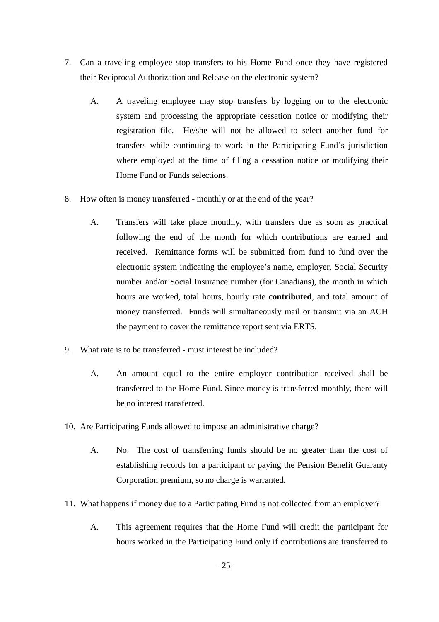- 7. Can a traveling employee stop transfers to his Home Fund once they have registered their Reciprocal Authorization and Release on the electronic system?
	- A. A traveling employee may stop transfers by logging on to the electronic system and processing the appropriate cessation notice or modifying their registration file. He/she will not be allowed to select another fund for transfers while continuing to work in the Participating Fund's jurisdiction where employed at the time of filing a cessation notice or modifying their Home Fund or Funds selections.
- 8. How often is money transferred monthly or at the end of the year?
	- A. Transfers will take place monthly, with transfers due as soon as practical following the end of the month for which contributions are earned and received. Remittance forms will be submitted from fund to fund over the electronic system indicating the employee's name, employer, Social Security number and/or Social Insurance number (for Canadians), the month in which hours are worked, total hours, hourly rate **contributed**, and total amount of money transferred. Funds will simultaneously mail or transmit via an ACH the payment to cover the remittance report sent via ERTS.
- 9. What rate is to be transferred must interest be included?
	- A. An amount equal to the entire employer contribution received shall be transferred to the Home Fund. Since money is transferred monthly, there will be no interest transferred.
- 10. Are Participating Funds allowed to impose an administrative charge?
	- A. No. The cost of transferring funds should be no greater than the cost of establishing records for a participant or paying the Pension Benefit Guaranty Corporation premium, so no charge is warranted.
- 11. What happens if money due to a Participating Fund is not collected from an employer?
	- A. This agreement requires that the Home Fund will credit the participant for hours worked in the Participating Fund only if contributions are transferred to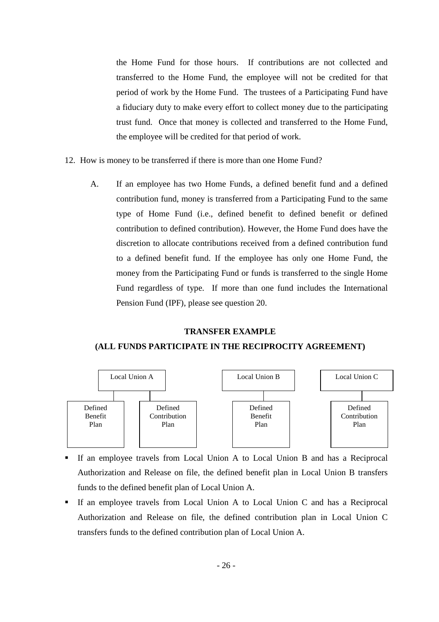the Home Fund for those hours. If contributions are not collected and transferred to the Home Fund, the employee will not be credited for that period of work by the Home Fund. The trustees of a Participating Fund have a fiduciary duty to make every effort to collect money due to the participating trust fund. Once that money is collected and transferred to the Home Fund, the employee will be credited for that period of work.

- 12. How is money to be transferred if there is more than one Home Fund?
	- A. If an employee has two Home Funds, a defined benefit fund and a defined contribution fund, money is transferred from a Participating Fund to the same type of Home Fund (i.e., defined benefit to defined benefit or defined contribution to defined contribution). However, the Home Fund does have the discretion to allocate contributions received from a defined contribution fund to a defined benefit fund. If the employee has only one Home Fund, the money from the Participating Fund or funds is transferred to the single Home Fund regardless of type. If more than one fund includes the International Pension Fund (IPF), please see question 20.

#### **TRANSFER EXAMPLE**

#### **(ALL FUNDS PARTICIPATE IN THE RECIPROCITY AGREEMENT)**



- If an employee travels from Local Union A to Local Union B and has a Reciprocal Authorization and Release on file, the defined benefit plan in Local Union B transfers funds to the defined benefit plan of Local Union A.
- If an employee travels from Local Union A to Local Union C and has a Reciprocal Authorization and Release on file, the defined contribution plan in Local Union C transfers funds to the defined contribution plan of Local Union A.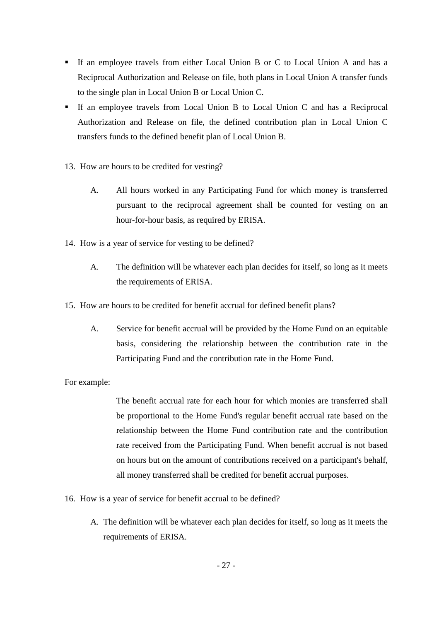- If an employee travels from either Local Union B or C to Local Union A and has a Reciprocal Authorization and Release on file, both plans in Local Union A transfer funds to the single plan in Local Union B or Local Union C.
- If an employee travels from Local Union B to Local Union C and has a Reciprocal Authorization and Release on file, the defined contribution plan in Local Union C transfers funds to the defined benefit plan of Local Union B.
- 13. How are hours to be credited for vesting?
	- A. All hours worked in any Participating Fund for which money is transferred pursuant to the reciprocal agreement shall be counted for vesting on an hour-for-hour basis, as required by ERISA.
- 14. How is a year of service for vesting to be defined?
	- A. The definition will be whatever each plan decides for itself, so long as it meets the requirements of ERISA.
- 15. How are hours to be credited for benefit accrual for defined benefit plans?
	- A. Service for benefit accrual will be provided by the Home Fund on an equitable basis, considering the relationship between the contribution rate in the Participating Fund and the contribution rate in the Home Fund.

For example:

The benefit accrual rate for each hour for which monies are transferred shall be proportional to the Home Fund's regular benefit accrual rate based on the relationship between the Home Fund contribution rate and the contribution rate received from the Participating Fund. When benefit accrual is not based on hours but on the amount of contributions received on a participant's behalf, all money transferred shall be credited for benefit accrual purposes.

- 16. How is a year of service for benefit accrual to be defined?
	- A. The definition will be whatever each plan decides for itself, so long as it meets the requirements of ERISA.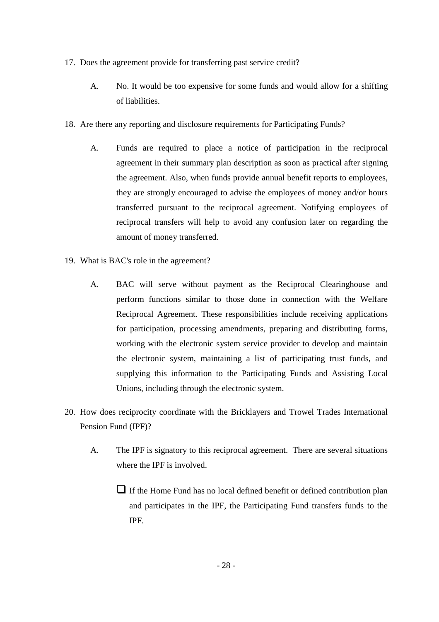- 17. Does the agreement provide for transferring past service credit?
	- A. No. It would be too expensive for some funds and would allow for a shifting of liabilities.
- 18. Are there any reporting and disclosure requirements for Participating Funds?
	- A. Funds are required to place a notice of participation in the reciprocal agreement in their summary plan description as soon as practical after signing the agreement. Also, when funds provide annual benefit reports to employees, they are strongly encouraged to advise the employees of money and/or hours transferred pursuant to the reciprocal agreement. Notifying employees of reciprocal transfers will help to avoid any confusion later on regarding the amount of money transferred.
- 19. What is BAC's role in the agreement?
	- A. BAC will serve without payment as the Reciprocal Clearinghouse and perform functions similar to those done in connection with the Welfare Reciprocal Agreement. These responsibilities include receiving applications for participation, processing amendments, preparing and distributing forms, working with the electronic system service provider to develop and maintain the electronic system, maintaining a list of participating trust funds, and supplying this information to the Participating Funds and Assisting Local Unions, including through the electronic system.
- 20. How does reciprocity coordinate with the Bricklayers and Trowel Trades International Pension Fund (IPF)?
	- A. The IPF is signatory to this reciprocal agreement. There are several situations where the IPF is involved.
		- If the Home Fund has no local defined benefit or defined contribution plan and participates in the IPF, the Participating Fund transfers funds to the IPF.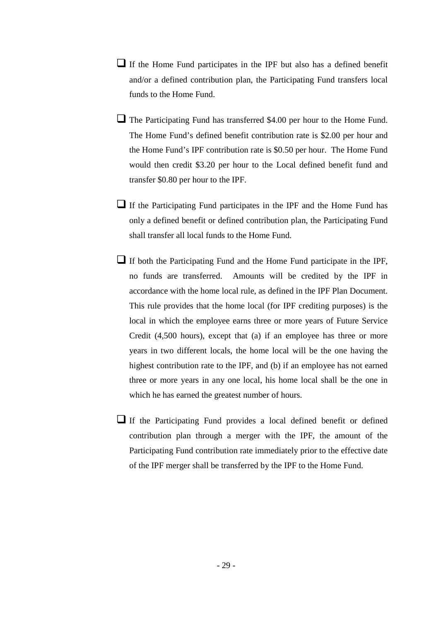- If the Home Fund participates in the IPF but also has a defined benefit and/or a defined contribution plan, the Participating Fund transfers local funds to the Home Fund.
- The Participating Fund has transferred \$4.00 per hour to the Home Fund. The Home Fund's defined benefit contribution rate is \$2.00 per hour and the Home Fund's IPF contribution rate is \$0.50 per hour. The Home Fund would then credit \$3.20 per hour to the Local defined benefit fund and transfer \$0.80 per hour to the IPF.
- If the Participating Fund participates in the IPF and the Home Fund has only a defined benefit or defined contribution plan, the Participating Fund shall transfer all local funds to the Home Fund.
- If both the Participating Fund and the Home Fund participate in the IPF, no funds are transferred. Amounts will be credited by the IPF in accordance with the home local rule, as defined in the IPF Plan Document. This rule provides that the home local (for IPF crediting purposes) is the local in which the employee earns three or more years of Future Service Credit (4,500 hours), except that (a) if an employee has three or more years in two different locals, the home local will be the one having the highest contribution rate to the IPF, and (b) if an employee has not earned three or more years in any one local, his home local shall be the one in which he has earned the greatest number of hours.
- If the Participating Fund provides a local defined benefit or defined contribution plan through a merger with the IPF, the amount of the Participating Fund contribution rate immediately prior to the effective date of the IPF merger shall be transferred by the IPF to the Home Fund.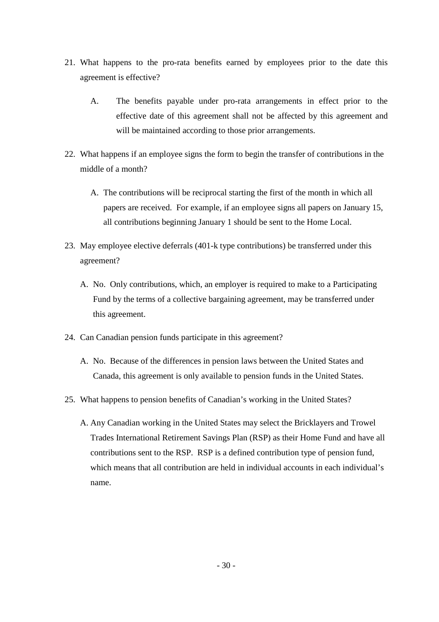- 21. What happens to the pro-rata benefits earned by employees prior to the date this agreement is effective?
	- A. The benefits payable under pro-rata arrangements in effect prior to the effective date of this agreement shall not be affected by this agreement and will be maintained according to those prior arrangements.
- 22. What happens if an employee signs the form to begin the transfer of contributions in the middle of a month?
	- A. The contributions will be reciprocal starting the first of the month in which all papers are received. For example, if an employee signs all papers on January 15, all contributions beginning January 1 should be sent to the Home Local.
- 23. May employee elective deferrals (401-k type contributions) be transferred under this agreement?
	- A. No. Only contributions, which, an employer is required to make to a Participating Fund by the terms of a collective bargaining agreement, may be transferred under this agreement.
- 24. Can Canadian pension funds participate in this agreement?
	- A. No. Because of the differences in pension laws between the United States and Canada, this agreement is only available to pension funds in the United States.
- 25. What happens to pension benefits of Canadian's working in the United States?
	- A. Any Canadian working in the United States may select the Bricklayers and Trowel Trades International Retirement Savings Plan (RSP) as their Home Fund and have all contributions sent to the RSP. RSP is a defined contribution type of pension fund, which means that all contribution are held in individual accounts in each individual's name.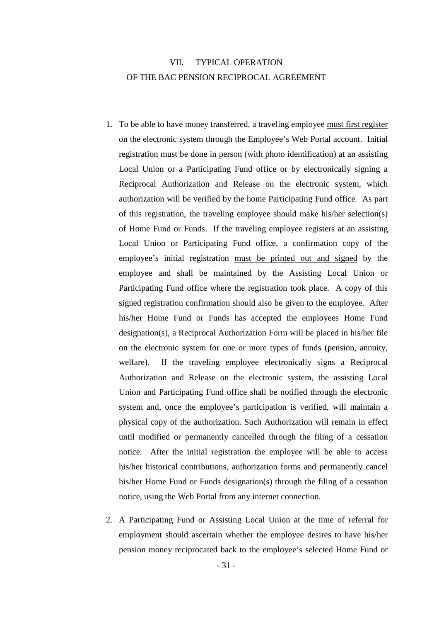# VII. TYPICAL OPERATION OF THE BAC PENSION RECIPROCAL AGREEMENT

- 1. To be able to have money transferred, a traveling employee must first register on the electronic system through the Employee's Web Portal account. Initial registration must be done in person (with photo identification) at an assisting Local Union or a Participating Fund office or by electronically signing a Reciprocal Authorization and Release on the electronic system, which authorization will be verified by the home Participating Fund office. As part of this registration, the traveling employee should make his/her selection(s) of Home Fund or Funds. If the traveling employee registers at an assisting Local Union or Participating Fund office, a confirmation copy of the employee's initial registration must be printed out and signed by the employee and shall be maintained by the Assisting Local Union or Participating Fund office where the registration took place. A copy of this signed registration confirmation should also be given to the employee. After his/her Home Fund or Funds has accepted the employees Home Fund designation(s), a Reciprocal Authorization Form will be placed in his/her file on the electronic system for one or more types of funds (pension, annuity, welfare). If the traveling employee electronically signs a Reciprocal Authorization and Release on the electronic system, the assisting Local Union and Participating Fund office shall be notified through the electronic system and, once the employee's participation is verified, will maintain a physical copy of the authorization. Such Authorization will remain in effect until modified or permanently cancelled through the filing of a cessation notice. After the initial registration the employee will be able to access his/her historical contributions, authorization forms and permanently cancel his/her Home Fund or Funds designation(s) through the filing of a cessation notice, using the Web Portal from any internet connection.
- 2. A Participating Fund or Assisting Local Union at the time of referral for employment should ascertain whether the employee desires to have his/her pension money reciprocated back to the employee's selected Home Fund or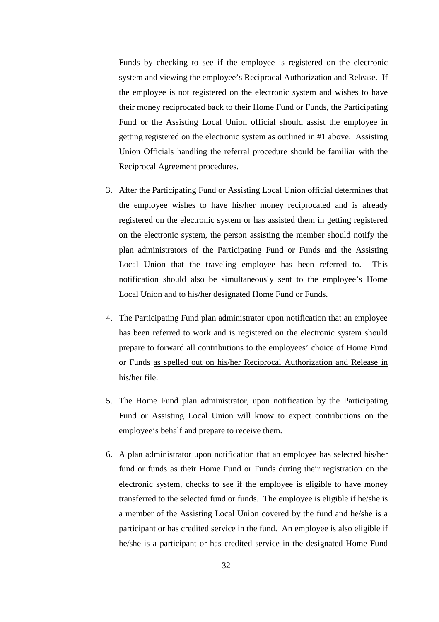Funds by checking to see if the employee is registered on the electronic system and viewing the employee's Reciprocal Authorization and Release. If the employee is not registered on the electronic system and wishes to have their money reciprocated back to their Home Fund or Funds, the Participating Fund or the Assisting Local Union official should assist the employee in getting registered on the electronic system as outlined in #1 above. Assisting Union Officials handling the referral procedure should be familiar with the Reciprocal Agreement procedures.

- 3. After the Participating Fund or Assisting Local Union official determines that the employee wishes to have his/her money reciprocated and is already registered on the electronic system or has assisted them in getting registered on the electronic system, the person assisting the member should notify the plan administrators of the Participating Fund or Funds and the Assisting Local Union that the traveling employee has been referred to. This notification should also be simultaneously sent to the employee's Home Local Union and to his/her designated Home Fund or Funds.
- 4. The Participating Fund plan administrator upon notification that an employee has been referred to work and is registered on the electronic system should prepare to forward all contributions to the employees' choice of Home Fund or Funds as spelled out on his/her Reciprocal Authorization and Release in his/her file.
- 5. The Home Fund plan administrator, upon notification by the Participating Fund or Assisting Local Union will know to expect contributions on the employee's behalf and prepare to receive them.
- 6. A plan administrator upon notification that an employee has selected his/her fund or funds as their Home Fund or Funds during their registration on the electronic system, checks to see if the employee is eligible to have money transferred to the selected fund or funds. The employee is eligible if he/she is a member of the Assisting Local Union covered by the fund and he/she is a participant or has credited service in the fund. An employee is also eligible if he/she is a participant or has credited service in the designated Home Fund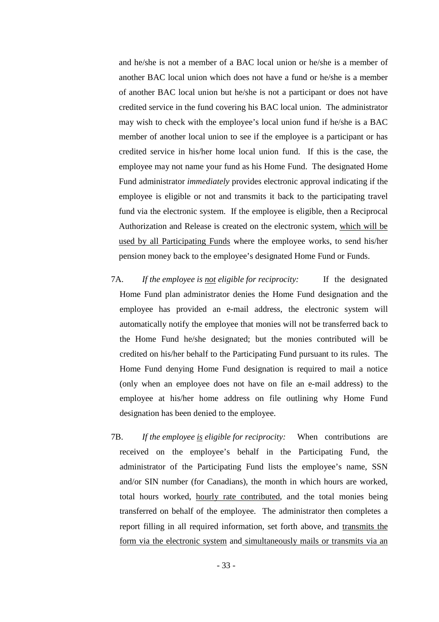and he/she is not a member of a BAC local union or he/she is a member of another BAC local union which does not have a fund or he/she is a member of another BAC local union but he/she is not a participant or does not have credited service in the fund covering his BAC local union. The administrator may wish to check with the employee's local union fund if he/she is a BAC member of another local union to see if the employee is a participant or has credited service in his/her home local union fund. If this is the case, the employee may not name your fund as his Home Fund. The designated Home Fund administrator *immediately* provides electronic approval indicating if the employee is eligible or not and transmits it back to the participating travel fund via the electronic system. If the employee is eligible, then a Reciprocal Authorization and Release is created on the electronic system, which will be used by all Participating Funds where the employee works, to send his/her pension money back to the employee's designated Home Fund or Funds.

- 7A. *If the employee is not eligible for reciprocity:* If the designated Home Fund plan administrator denies the Home Fund designation and the employee has provided an e-mail address, the electronic system will automatically notify the employee that monies will not be transferred back to the Home Fund he/she designated; but the monies contributed will be credited on his/her behalf to the Participating Fund pursuant to its rules. The Home Fund denying Home Fund designation is required to mail a notice (only when an employee does not have on file an e-mail address) to the employee at his/her home address on file outlining why Home Fund designation has been denied to the employee.
- 7B. *If the employee is eligible for reciprocity:* When contributions are received on the employee's behalf in the Participating Fund, the administrator of the Participating Fund lists the employee's name, SSN and/or SIN number (for Canadians), the month in which hours are worked, total hours worked, hourly rate contributed, and the total monies being transferred on behalf of the employee. The administrator then completes a report filling in all required information, set forth above, and transmits the form via the electronic system and simultaneously mails or transmits via an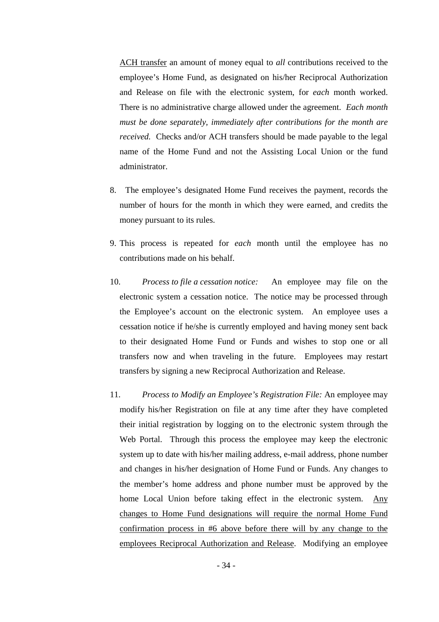ACH transfer an amount of money equal to *all* contributions received to the employee's Home Fund, as designated on his/her Reciprocal Authorization and Release on file with the electronic system, for *each* month worked. There is no administrative charge allowed under the agreement. *Each month must be done separately, immediately after contributions for the month are received.* Checks and/or ACH transfers should be made payable to the legal name of the Home Fund and not the Assisting Local Union or the fund administrator.

- 8. The employee's designated Home Fund receives the payment, records the number of hours for the month in which they were earned, and credits the money pursuant to its rules.
- 9. This process is repeated for *each* month until the employee has no contributions made on his behalf.
- 10. *Process to file a cessation notice:* An employee may file on the electronic system a cessation notice. The notice may be processed through the Employee's account on the electronic system. An employee uses a cessation notice if he/she is currently employed and having money sent back to their designated Home Fund or Funds and wishes to stop one or all transfers now and when traveling in the future. Employees may restart transfers by signing a new Reciprocal Authorization and Release.
- 11. *Process to Modify an Employee's Registration File:* An employee may modify his/her Registration on file at any time after they have completed their initial registration by logging on to the electronic system through the Web Portal. Through this process the employee may keep the electronic system up to date with his/her mailing address, e-mail address, phone number and changes in his/her designation of Home Fund or Funds. Any changes to the member's home address and phone number must be approved by the home Local Union before taking effect in the electronic system. Any changes to Home Fund designations will require the normal Home Fund confirmation process in #6 above before there will by any change to the employees Reciprocal Authorization and Release. Modifying an employee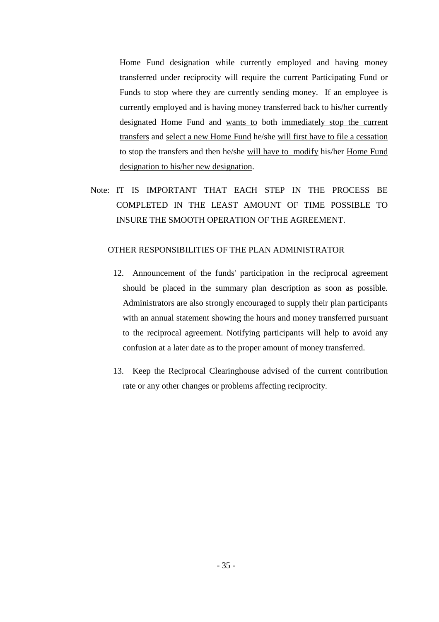Home Fund designation while currently employed and having money transferred under reciprocity will require the current Participating Fund or Funds to stop where they are currently sending money. If an employee is currently employed and is having money transferred back to his/her currently designated Home Fund and wants to both immediately stop the current transfers and select a new Home Fund he/she will first have to file a cessation to stop the transfers and then he/she will have to modify his/her Home Fund designation to his/her new designation.

Note: IT IS IMPORTANT THAT EACH STEP IN THE PROCESS BE COMPLETED IN THE LEAST AMOUNT OF TIME POSSIBLE TO INSURE THE SMOOTH OPERATION OF THE AGREEMENT.

#### OTHER RESPONSIBILITIES OF THE PLAN ADMINISTRATOR

- 12. Announcement of the funds' participation in the reciprocal agreement should be placed in the summary plan description as soon as possible. Administrators are also strongly encouraged to supply their plan participants with an annual statement showing the hours and money transferred pursuant to the reciprocal agreement. Notifying participants will help to avoid any confusion at a later date as to the proper amount of money transferred.
- 13. Keep the Reciprocal Clearinghouse advised of the current contribution rate or any other changes or problems affecting reciprocity.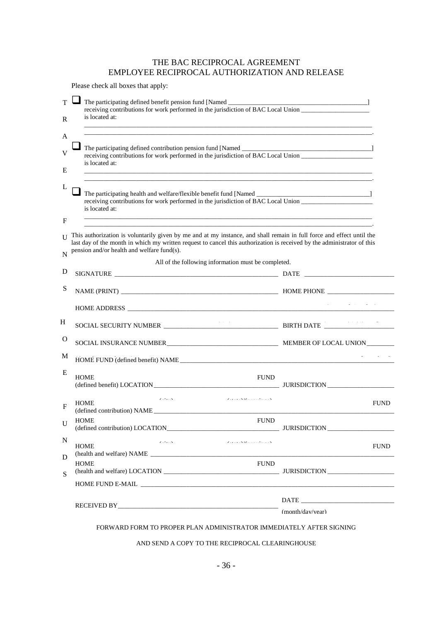# THE BAC RECIPROCAL AGREEMENT EMPLOYEE RECIPROCAL AUTHORIZATION AND RELEASE

Please check all boxes that apply:

| T<br>receiving contributions for work performed in the jurisdiction of BAC Local Union<br>is located at:<br>R                                                                                                                                                                                                      |                                                                     |             |  |  |  |
|--------------------------------------------------------------------------------------------------------------------------------------------------------------------------------------------------------------------------------------------------------------------------------------------------------------------|---------------------------------------------------------------------|-------------|--|--|--|
| A<br>V<br>receiving contributions for work performed in the jurisdiction of BAC Local Union<br>is located at:<br>Ε                                                                                                                                                                                                 |                                                                     |             |  |  |  |
| receiving contributions for work performed in the jurisdiction of BAC Local Union<br>is located at:<br>,我们也不能在这里,我们也不能在这里的时候,我们也不能会不能会不能会不能会不能会不能会不能会。""我们的人们,我们也不能会不能会不能会不能会不能会不能会不能会不                                                                                                                            |                                                                     |             |  |  |  |
| F<br>This authorization is voluntarily given by me and at my instance, and shall remain in full force and effect until the<br>last day of the month in which my written request to cancel this authorization is received by the administrator of this<br>pension and/or health and welfare fund(s).<br>$\mathbf N$ |                                                                     |             |  |  |  |
|                                                                                                                                                                                                                                                                                                                    | All of the following information must be completed.                 |             |  |  |  |
| D                                                                                                                                                                                                                                                                                                                  |                                                                     |             |  |  |  |
| S                                                                                                                                                                                                                                                                                                                  |                                                                     |             |  |  |  |
|                                                                                                                                                                                                                                                                                                                    |                                                                     |             |  |  |  |
| H                                                                                                                                                                                                                                                                                                                  |                                                                     |             |  |  |  |
| $\mathbf{O}$                                                                                                                                                                                                                                                                                                       |                                                                     |             |  |  |  |
| M                                                                                                                                                                                                                                                                                                                  |                                                                     |             |  |  |  |
| Ε<br><b>HOME</b>                                                                                                                                                                                                                                                                                                   | <b>FUND</b>                                                         |             |  |  |  |
| $\mathbf{z} \rightarrow \mathbf{z}$ . $\mathbf{x}$<br><b>HOME</b><br>F<br>(defined contribution) NAME                                                                                                                                                                                                              | $\mathcal{L}$ and $\mathcal{L}$ and $\mathcal{L}$ and $\mathcal{L}$ | <b>FUND</b> |  |  |  |
| <b>HOME</b><br>U<br>(defined contribution) LOCATION                                                                                                                                                                                                                                                                | <b>FUND</b>                                                         |             |  |  |  |
| N<br>$\mathbf{z}^{\prime}$ , $\mathbf{z}^{\prime}$ , $\mathbf{z}^{\prime}$ ,<br><b>HOME</b><br>(health and welfare) NAME                                                                                                                                                                                           | $\mathcal{L}$ is a set of $\mathcal{L}$ in the set of $\mathcal{L}$ | <b>FUND</b> |  |  |  |
| D                                                                                                                                                                                                                                                                                                                  | <b>FUND</b>                                                         |             |  |  |  |
| <b>HOME</b>                                                                                                                                                                                                                                                                                                        |                                                                     |             |  |  |  |
| S                                                                                                                                                                                                                                                                                                                  |                                                                     |             |  |  |  |
|                                                                                                                                                                                                                                                                                                                    |                                                                     |             |  |  |  |

#### AND SEND A COPY TO THE RECIPROCAL CLEARINGHOUSE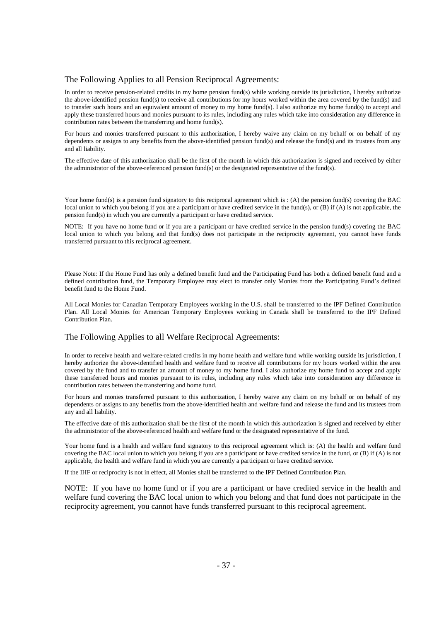#### The Following Applies to all Pension Reciprocal Agreements:

In order to receive pension-related credits in my home pension fund(s) while working outside its jurisdiction, I hereby authorize the above-identified pension fund(s) to receive all contributions for my hours worked within the area covered by the fund(s) and to transfer such hours and an equivalent amount of money to my home fund(s). I also authorize my home fund(s) to accept and apply these transferred hours and monies pursuant to its rules, including any rules which take into consideration any difference in contribution rates between the transferring and home fund(s).

For hours and monies transferred pursuant to this authorization, I hereby waive any claim on my behalf or on behalf of my dependents or assigns to any benefits from the above-identified pension fund(s) and release the fund(s) and its trustees from any and all liability.

The effective date of this authorization shall be the first of the month in which this authorization is signed and received by either the administrator of the above-referenced pension fund(s) or the designated representative of the fund(s).

Your home fund(s) is a pension fund signatory to this reciprocal agreement which is : (A) the pension fund(s) covering the BAC local union to which you belong if you are a participant or have credited service in the fund(s), or  $(B)$  if  $(A)$  is not applicable, the pension fund(s) in which you are currently a participant or have credited service.

NOTE: If you have no home fund or if you are a participant or have credited service in the pension fund(s) covering the BAC local union to which you belong and that fund(s) does not participate in the reciprocity agreement, you cannot have funds transferred pursuant to this reciprocal agreement.

Please Note: If the Home Fund has only a defined benefit fund and the Participating Fund has both a defined benefit fund and a defined contribution fund, the Temporary Employee may elect to transfer only Monies from the Participating Fund's defined benefit fund to the Home Fund.

All Local Monies for Canadian Temporary Employees working in the U.S. shall be transferred to the IPF Defined Contribution Plan. All Local Monies for American Temporary Employees working in Canada shall be transferred to the IPF Defined Contribution Plan.

#### The Following Applies to all Welfare Reciprocal Agreements:

In order to receive health and welfare-related credits in my home health and welfare fund while working outside its jurisdiction, I hereby authorize the above-identified health and welfare fund to receive all contributions for my hours worked within the area covered by the fund and to transfer an amount of money to my home fund. I also authorize my home fund to accept and apply these transferred hours and monies pursuant to its rules, including any rules which take into consideration any difference in contribution rates between the transferring and home fund.

For hours and monies transferred pursuant to this authorization, I hereby waive any claim on my behalf or on behalf of my dependents or assigns to any benefits from the above-identified health and welfare fund and release the fund and its trustees from any and all liability.

The effective date of this authorization shall be the first of the month in which this authorization is signed and received by either the administrator of the above-referenced health and welfare fund or the designated representative of the fund.

Your home fund is a health and welfare fund signatory to this reciprocal agreement which is: (A) the health and welfare fund covering the BAC local union to which you belong if you are a participant or have credited service in the fund, or (B) if (A) is not applicable, the health and welfare fund in which you are currently a participant or have credited service.

If the IHF or reciprocity is not in effect, all Monies shall be transferred to the IPF Defined Contribution Plan.

NOTE: If you have no home fund or if you are a participant or have credited service in the health and welfare fund covering the BAC local union to which you belong and that fund does not participate in the reciprocity agreement, you cannot have funds transferred pursuant to this reciprocal agreement.